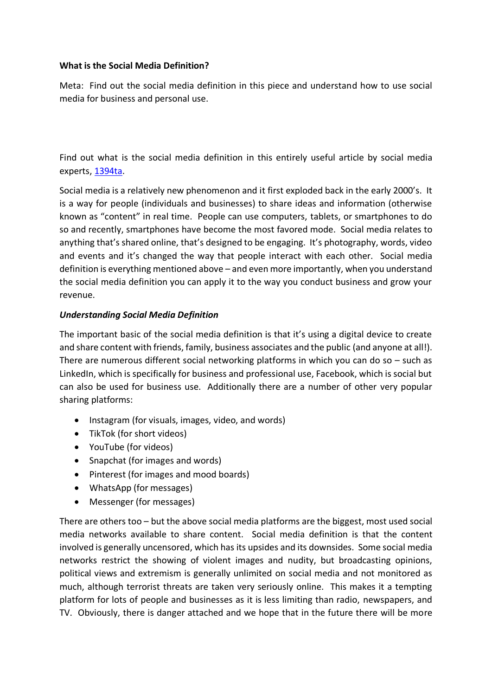#### **What is the Social Media Definition?**

Meta: Find out the social media definition in this piece and understand how to use social media for business and personal use.

Find out what is the social media definition in this entirely useful article by social media experts, [1394ta.](https://1394ta.org/)

Social media is a relatively new phenomenon and it first exploded back in the early 2000's. It is a way for people (individuals and businesses) to share ideas and information (otherwise known as "content" in real time. People can use computers, tablets, or smartphones to do so and recently, smartphones have become the most favored mode. Social media relates to anything that's shared online, that's designed to be engaging. It's photography, words, video and events and it's changed the way that people interact with each other. Social media definition is everything mentioned above – and even more importantly, when you understand the social media definition you can apply it to the way you conduct business and grow your revenue.

#### *Understanding Social Media Definition*

The important basic of the social media definition is that it's using a digital device to create and share content with friends, family, business associates and the public (and anyone at all!). There are numerous different social networking platforms in which you can do so  $-$  such as LinkedIn, which is specifically for business and professional use, Facebook, which is social but can also be used for business use. Additionally there are a number of other very popular sharing platforms:

- Instagram (for visuals, images, video, and words)
- TikTok (for short videos)
- YouTube (for videos)
- Snapchat (for images and words)
- Pinterest (for images and mood boards)
- WhatsApp (for messages)
- Messenger (for messages)

There are others too – but the above social media platforms are the biggest, most used social media networks available to share content. Social media definition is that the content involved is generally uncensored, which has its upsides and its downsides. Some social media networks restrict the showing of violent images and nudity, but broadcasting opinions, political views and extremism is generally unlimited on social media and not monitored as much, although terrorist threats are taken very seriously online. This makes it a tempting platform for lots of people and businesses as it is less limiting than radio, newspapers, and TV. Obviously, there is danger attached and we hope that in the future there will be more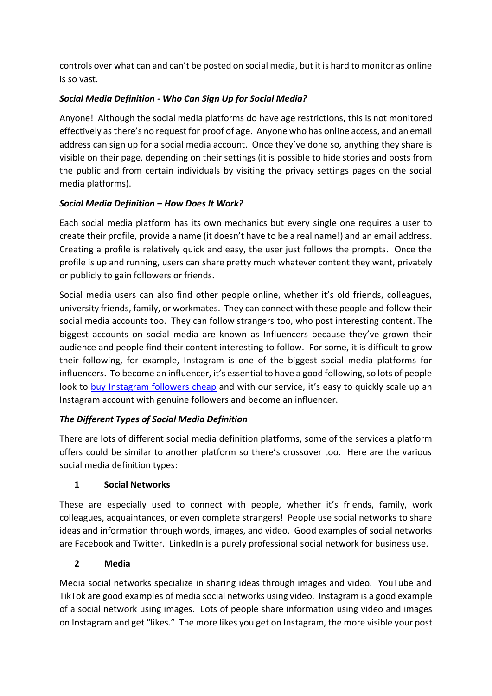controls over what can and can't be posted on social media, but it is hard to monitor as online is so vast.

## *Social Media Definition - Who Can Sign Up for Social Media?*

Anyone! Although the social media platforms do have age restrictions, this is not monitored effectively as there's no request for proof of age. Anyone who has online access, and an email address can sign up for a social media account. Once they've done so, anything they share is visible on their page, depending on their settings (it is possible to hide stories and posts from the public and from certain individuals by visiting the privacy settings pages on the social media platforms).

## *Social Media Definition – How Does It Work?*

Each social media platform has its own mechanics but every single one requires a user to create their profile, provide a name (it doesn't have to be a real name!) and an email address. Creating a profile is relatively quick and easy, the user just follows the prompts. Once the profile is up and running, users can share pretty much whatever content they want, privately or publicly to gain followers or friends.

Social media users can also find other people online, whether it's old friends, colleagues, university friends, family, or workmates. They can connect with these people and follow their social media accounts too. They can follow strangers too, who post interesting content. The biggest accounts on social media are known as Influencers because they've grown their audience and people find their content interesting to follow. For some, it is difficult to grow their following, for example, Instagram is one of the biggest social media platforms for influencers. To become an influencer, it's essential to have a good following, so lots of people look to [buy Instagram followers cheap](https://1394ta.org/buy-instagram-followers/) and with our service, it's easy to quickly scale up an Instagram account with genuine followers and become an influencer.

## *The Different Types of Social Media Definition*

There are lots of different social media definition platforms, some of the services a platform offers could be similar to another platform so there's crossover too. Here are the various social media definition types:

## **1 Social Networks**

These are especially used to connect with people, whether it's friends, family, work colleagues, acquaintances, or even complete strangers! People use social networks to share ideas and information through words, images, and video. Good examples of social networks are Facebook and Twitter. LinkedIn is a purely professional social network for business use.

## **2 Media**

Media social networks specialize in sharing ideas through images and video. YouTube and TikTok are good examples of media social networks using video. Instagram is a good example of a social network using images. Lots of people share information using video and images on Instagram and get "likes." The more likes you get on Instagram, the more visible your post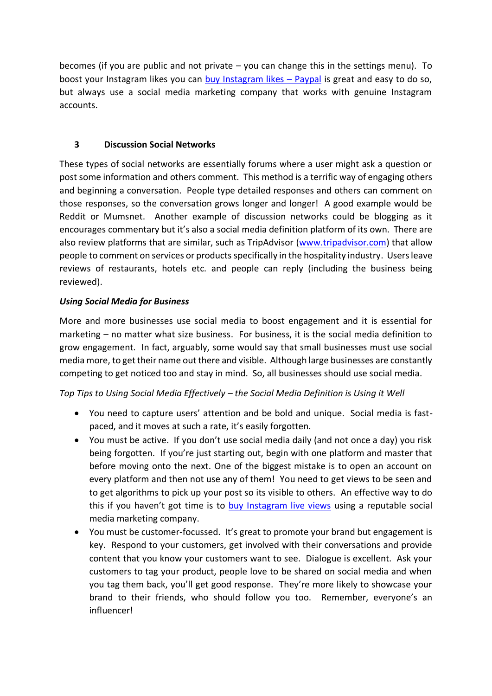becomes (if you are public and not private – you can change this in the settings menu). To boost your Instagram likes you can [buy Instagram likes](https://1394ta.org/buy-instagram-likes/) – Paypal is great and easy to do so, but always use a social media marketing company that works with genuine Instagram accounts.

## **3 Discussion Social Networks**

These types of social networks are essentially forums where a user might ask a question or post some information and others comment. This method is a terrific way of engaging others and beginning a conversation. People type detailed responses and others can comment on those responses, so the conversation grows longer and longer! A good example would be Reddit or Mumsnet. Another example of discussion networks could be blogging as it encourages commentary but it's also a social media definition platform of its own. There are also review platforms that are similar, such as TripAdvisor [\(www.tripadvisor.com\)](http://www.tripadvisor.com/) that allow people to comment on services or products specifically in the hospitality industry. Users leave reviews of restaurants, hotels etc. and people can reply (including the business being reviewed).

# *Using Social Media for Business*

More and more businesses use social media to boost engagement and it is essential for marketing – no matter what size business. For business, it is the social media definition to grow engagement. In fact, arguably, some would say that small businesses must use social media more, to get their name out there and visible. Although large businesses are constantly competing to get noticed too and stay in mind. So, all businesses should use social media.

*Top Tips to Using Social Media Effectively – the Social Media Definition is Using it Well*

- You need to capture users' attention and be bold and unique. Social media is fastpaced, and it moves at such a rate, it's easily forgotten.
- You must be active. If you don't use social media daily (and not once a day) you risk being forgotten. If you're just starting out, begin with one platform and master that before moving onto the next. One of the biggest mistake is to open an account on every platform and then not use any of them! You need to get views to be seen and to get algorithms to pick up your post so its visible to others. An effective way to do this if you haven't got time is to [buy Instagram live views](https://1394ta.org/buy-instagram-views/) using a reputable social media marketing company.
- You must be customer-focussed. It's great to promote your brand but engagement is key. Respond to your customers, get involved with their conversations and provide content that you know your customers want to see. Dialogue is excellent. Ask your customers to tag your product, people love to be shared on social media and when you tag them back, you'll get good response. They're more likely to showcase your brand to their friends, who should follow you too. Remember, everyone's an influencer!